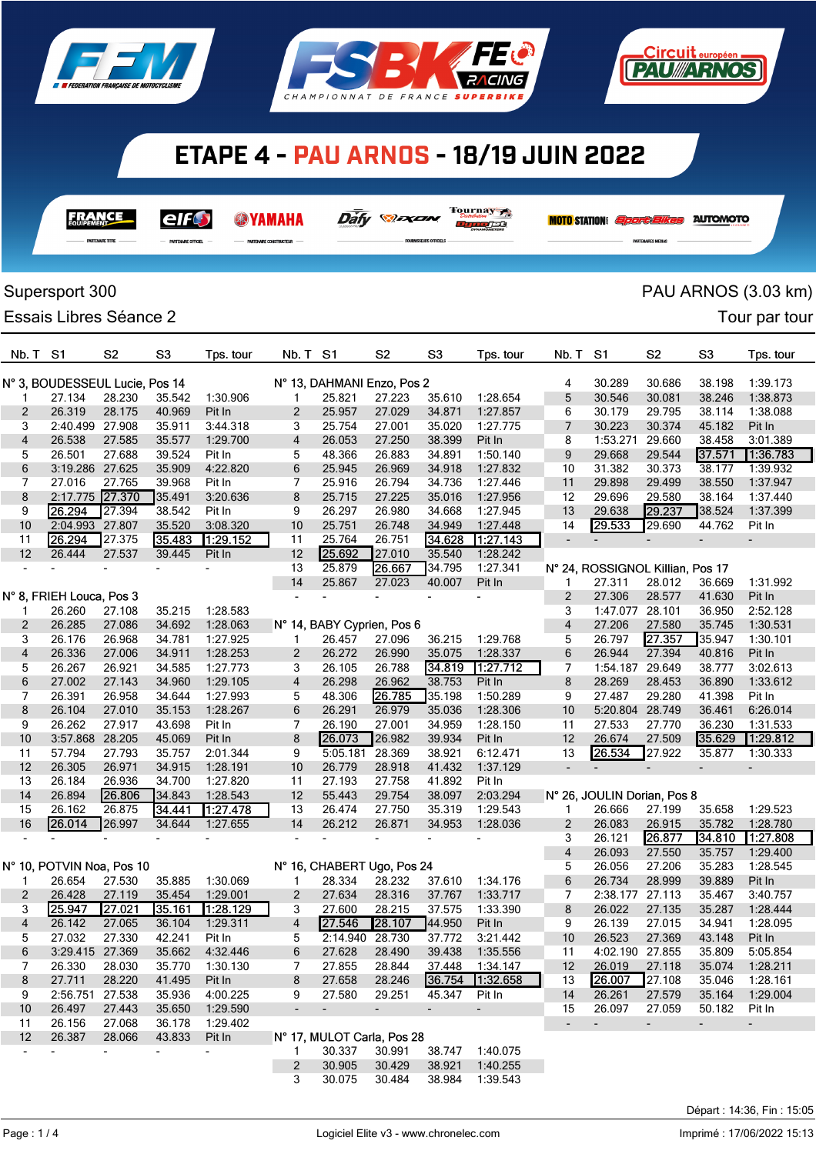

**FRANCE** 

elf\$

**SYAMAHA** 





Dafy **Dan** 

Tournay 7

Dunder

|                | Supersport 300                 |                                    |                  |                    |                |                            |                  |                  |                      |                          |                                  |                          |                          | PAU ARNOS (3.03 km)      |  |
|----------------|--------------------------------|------------------------------------|------------------|--------------------|----------------|----------------------------|------------------|------------------|----------------------|--------------------------|----------------------------------|--------------------------|--------------------------|--------------------------|--|
|                | Essais Libres Séance 2         |                                    |                  |                    |                |                            |                  |                  |                      |                          |                                  |                          |                          | Tour par tour            |  |
| Nb. T          | S <sub>1</sub>                 | S <sub>2</sub>                     | S <sub>3</sub>   | Tps. tour          | Nb. T          | S <sub>1</sub>             | S <sub>2</sub>   | S <sub>3</sub>   | Tps. tour            | Nb. T                    | S <sub>1</sub>                   | S <sub>2</sub>           | S <sub>3</sub>           | Tps. tour                |  |
|                |                                |                                    |                  |                    |                |                            |                  |                  |                      |                          |                                  |                          |                          |                          |  |
|                | N° 3, BOUDESSEUL Lucie, Pos 14 |                                    |                  |                    |                | N° 13, DAHMANI Enzo, Pos 2 |                  |                  |                      | 4                        | 30.289                           | 30.686                   | 38.198                   | 1:39.173                 |  |
| 1              | 27.134                         | 28.230                             | 35.542           | 1:30.906           | 1              | 25.821                     | 27.223           | 35.610           | 1:28.654             | 5                        | 30.546                           | 30.081                   | 38.246                   | 1:38.873                 |  |
| 2              | 26.319                         | 28.175                             | 40.969           | Pit In             | 2              | 25.957                     | 27.029           | 34.871           | 1:27.857             | 6                        | 30.179                           | 29.795                   | 38.114                   | 1:38.088                 |  |
| 3              | 2:40.499 27.908                |                                    | 35.911           | 3:44.318           | 3              | 25.754                     | 27.001           | 35.020           | 1:27.775             | 7                        | 30.223                           | 30.374                   | 45.182                   | Pit In                   |  |
| 4              | 26.538                         | 27.585                             | 35.577           | 1:29.700           | 4              | 26.053                     | 27.250           | 38.399           | Pit In               | 8                        | 1:53.271                         | 29.660                   | 38.458                   | 3:01.389                 |  |
| 5              | 26.501                         | 27.688                             | 39.524           | Pit In             | 5              | 48.366                     | 26.883           | 34.891           | 1:50.140             | 9                        | 29.668                           | 29.544                   | 37.571                   | 1:36.783                 |  |
| 6              | 3:19.286 27.625                |                                    | 35.909           | 4:22.820           | 6              | 25.945                     | 26.969           | 34.918           | 1:27.832             | 10                       | 31.382                           | 30.373                   | 38.177                   | 1:39.932                 |  |
| 7              | 27.016                         | 27.765                             | 39.968           | Pit In             | 7              | 25.916                     | 26.794           | 34.736           | 1:27.446             | 11                       | 29.898                           | 29.499                   | 38.550                   | 1:37.947                 |  |
| 8<br>9         | 2:17.775<br>26.294             | 27.370<br>27.394                   | 35.491<br>38.542 | 3:20.636<br>Pit In | 8<br>9         | 25.715<br>26.297           | 27.225<br>26.980 | 35.016           | 1:27.956             | 12                       | 29.696<br>29.638                 | 29.580<br>29.237         | 38.164<br>38.524         | 1:37.440<br>1:37.399     |  |
| 10             | 2:04.993 27.807                |                                    | 35.520           | 3:08.320           | 10             | 25.751                     | 26.748           | 34.668<br>34.949 | 1:27.945<br>1:27.448 | 13<br>14                 | 29.533                           | 29.690                   | 44.762                   | Pit In                   |  |
| 11             | 26.294                         | 27.375                             | 35.483           | 1:29.152           | 11             | 25.764                     | 26.751           | 34.628           | 1:27.143             | ÷,                       |                                  | $\overline{\phantom{a}}$ | $\overline{\phantom{0}}$ |                          |  |
| 12             | 26.444                         | 27.537                             | 39.445           | Pit In             | 12             | 25.692                     | 27.010           | 35.540           | 1:28.242             |                          |                                  |                          |                          |                          |  |
|                |                                |                                    |                  |                    | 13             | 25.879                     | 26.667           | 34.795           | 1:27.341             |                          | N° 24, ROSSIGNOL Killian, Pos 17 |                          |                          |                          |  |
|                |                                |                                    |                  |                    | 14             | 25.867                     | 27.023           | 40.007           | Pit In               | 1                        | 27.311                           | 28.012                   | 36.669                   | 1:31.992                 |  |
|                | N° 8, FRIEH Louca, Pos 3       |                                    |                  |                    |                |                            |                  |                  |                      | 2                        | 27.306                           | 28.577                   | 41.630                   | Pit In                   |  |
|                | 26.260                         | 27.108                             | 35.215           | 1:28.583           |                |                            |                  |                  |                      | 3                        | 1:47.077                         | 28.101                   | 36.950                   | 2:52.128                 |  |
| 2              | 26.285                         | 27.086                             | 34.692           | 1:28.063           |                | N° 14, BABY Cyprien, Pos 6 |                  |                  |                      | $\overline{\mathbf{4}}$  | 27.206                           | 27.580                   | 35.745                   | 1:30.531                 |  |
| 3              | 26.176                         | 26.968                             | 34.781           | 1:27.925           | 1              | 26.457                     | 27.096           | 36.215           | 1:29.768             | 5                        | 26.797                           | 27.357                   | 35.947                   | 1:30.101                 |  |
| 4              | 26.336                         | 27.006                             | 34.911           | 1:28.253           | 2              | 26.272                     | 26.990           | 35.075           | 1:28.337             | 6                        | 26.944                           | 27.394                   | 40.816                   | Pit In                   |  |
| 5              | 26.267                         | 26.921                             | 34.585           | 1:27.773           | 3              | 26.105                     | 26.788           | 34.819           | 1:27.712             | 7                        | 1:54.187                         | 29.649                   | 38.777                   | 3:02.613                 |  |
| 6              | 27.002                         | 27.143                             | 34.960           | 1:29.105           | 4              | 26.298                     | 26.962           | 38.753           | Pit In               | 8                        | 28.269                           | 28.453                   | 36.890                   | 1:33.612                 |  |
| 7              | 26.391                         | 26.958                             | 34.644           | 1:27.993           | 5              | 48.306                     | 26.785           | 35.198           | 1:50.289             | 9                        | 27.487                           | 29.280                   | 41.398                   | Pit In                   |  |
| 8              | 26.104                         | 27.010                             | 35.153           | 1:28.267           | 6              | 26.291                     | 26.979           | 35.036           | 1:28.306             | 10                       | 5:20.804                         | 28.749                   | 36.461                   | 6:26.014                 |  |
| 9              | 26.262                         | 27.917                             | 43.698           | Pit In             | 7              | 26.190                     | 27.001           | 34.959           | 1:28.150             | 11                       | 27.533                           | 27.770                   | 36.230                   | 1:31.533                 |  |
| 10             | 3:57.868 28.205                |                                    | 45.069           | Pit In             | 8              | 26.073                     | 26.982           | 39.934           | Pit In               | 12                       | 26.674                           | 27.509                   | 35.629                   | 1:29.812                 |  |
| 11             | 57.794                         | 27.793                             | 35.757           | 2:01.344           | 9              | 5:05.181                   | 28.369           | 38.921           | 6:12.471             | 13                       | 26.534                           | 27.922                   | 35.877                   | 1:30.333                 |  |
| 12             | 26.305                         | 26.971                             | 34.915           | 1:28.191           | 10             | 26.779                     | 28.918           | 41.432           | 1:37.129             | $\overline{\phantom{a}}$ |                                  |                          |                          |                          |  |
| 13             | 26.184                         | 26.936                             | 34.700           | 1:27.820           | 11             | 27.193                     | 27.758           | 41.892           | Pit In               |                          |                                  |                          |                          |                          |  |
| 14             | 26.894                         | 26.806                             | 34.843           | 1:28.543           | 12             | 55.443                     | 29.754           | 38.097           | 2:03.294             |                          | N° 26, JOULIN Dorian, Pos 8      |                          |                          |                          |  |
| 15             | 26.162                         | 26.875                             | 34.441           | 1:27.478           | 13             | 26.474                     | 27.750           | 35.319           | 1:29.543             | 1                        | 26.666                           | 27.199                   | 35.658                   | 1:29.523                 |  |
| 16             | 26.014                         | 26.997                             | 34.644           | 1:27.655           | 14             | 26.212                     | 26.871           | 34.953           | 1:28.036             | 2                        | 26.083                           | 26.915                   | 35.782                   | 1:28.780                 |  |
|                |                                |                                    |                  |                    |                |                            |                  |                  |                      | 3                        | 26.121                           | 26.877                   | 34.810                   | 1.27.808                 |  |
|                |                                |                                    |                  |                    |                |                            |                  |                  |                      | 4                        | 26.093                           | 27.550                   | 35.757                   | 1:29.400                 |  |
|                | N° 10, POTVIN Noa, Pos 10      |                                    |                  |                    |                | N° 16, CHABERT Ugo, Pos 24 |                  |                  |                      | 5                        | 26.056                           | 27.206                   | 35.283                   | 1:28.545                 |  |
| $\mathbf{1}$   | 26.654                         | 27.530                             | 35.885           | 1:30.069           | $\mathbf{1}$   | 28.334                     | 28.232           | 37.610           | 1:34.176             | 6                        | 26.734                           | 28.999                   | 39.889                   | Pit In                   |  |
| $\overline{2}$ | 26.428                         | 27.119                             | 35.454           | 1:29.001           | $\overline{2}$ | 27.634                     | 28.316           | 37.767           | 1:33.717             | 7                        | 2:38.177 27.113                  |                          | 35.467                   | 3:40.757                 |  |
| 3              | 25.947                         | 27.021                             | 35.161           | 1:28.129           | 3              | 27.600                     | 28.215           | 37.575           | 1:33.390             | 8                        | 26.022                           | 27.135                   | 35.287                   | 1:28.444                 |  |
| $\overline{4}$ | 26.142                         | 27.065                             | 36.104           | 1:29.311           | $\overline{4}$ | 27.546                     | 28.107           | 44.950           | Pit In               | 9                        | 26.139                           | 27.015                   | 34.941                   | 1:28.095                 |  |
| 5              | 27.032                         | 27.330                             | 42.241           | Pit In             | 5              |                            | 2:14.940 28.730  | 37.772           | 3:21.442             | 10                       | 26.523                           | 27.369                   | 43.148                   | Pit In                   |  |
| 6              | 3:29.415 27.369                |                                    | 35.662           | 4:32.446           | 6              | 27.628                     | 28.490           | 39.438           | 1:35.556             | 11                       | 4:02.190 27.855                  |                          | 35.809                   | 5:05.854                 |  |
| 7              | 26.330                         | 28.030                             | 35.770           | 1:30.130           | 7              | 27.855                     | 28.844           | 37.448           | 1:34.147             | 12                       | 26.019                           | 27.118                   | 35.074                   | 1:28.211                 |  |
| 8              | 27.711                         | 28.220                             | 41.495           | Pit In             | 8              | 27.658                     | 28.246           |                  | 36.754 1:32.658      | 13                       | 26.007                           | 27.108                   | 35.046                   | 1:28.161                 |  |
| 9              | 2:56.751 27.538                |                                    | 35.936<br>35.650 | 4:00.225           | 9              | 27.580                     | 29.251           | 45.347           | Pit In               | 14                       | 26.261                           | 27.579                   | 35.164                   | 1:29.004                 |  |
| 10             | 26.497                         | 27.443                             |                  | 1:29.590           | $\blacksquare$ | $\blacksquare$             | $\sim$           | $\blacksquare$   | $\sim$               | 15                       | 26.097                           | 27.059                   | 50.182                   | Pit In                   |  |
| 11             | 26.156                         | 27.068                             | 36.178           | 1:29.402           |                | N° 17, MULOT Carla, Pos 28 |                  |                  |                      | $\overline{\phantom{a}}$ | $\sim$                           | $\sim$                   | $\sim$                   | $\overline{\phantom{a}}$ |  |
| 12             | 26.387                         | 28.066<br>$\overline{\phantom{a}}$ | 43.833<br>$\sim$ | Pit In             | 1.             | 30.337                     | 30.991           | 38.747           | 1:40.075             |                          |                                  |                          |                          |                          |  |
|                |                                |                                    |                  |                    | 2              | 30.905                     | 30.429           | 38.921           | 1:40.255             |                          |                                  |                          |                          |                          |  |
|                |                                |                                    |                  |                    | 3              | 30.075                     | 30.484           | 38.984           | 1:39.543             |                          |                                  |                          |                          |                          |  |
|                |                                |                                    |                  |                    |                |                            |                  |                  |                      |                          |                                  |                          |                          |                          |  |

## Page : 1 / 4

<u> Eircuit européen</u>

**FAU ARNOS** 

**MOTO STATION:** *Sport Elkes* AUTOMOTO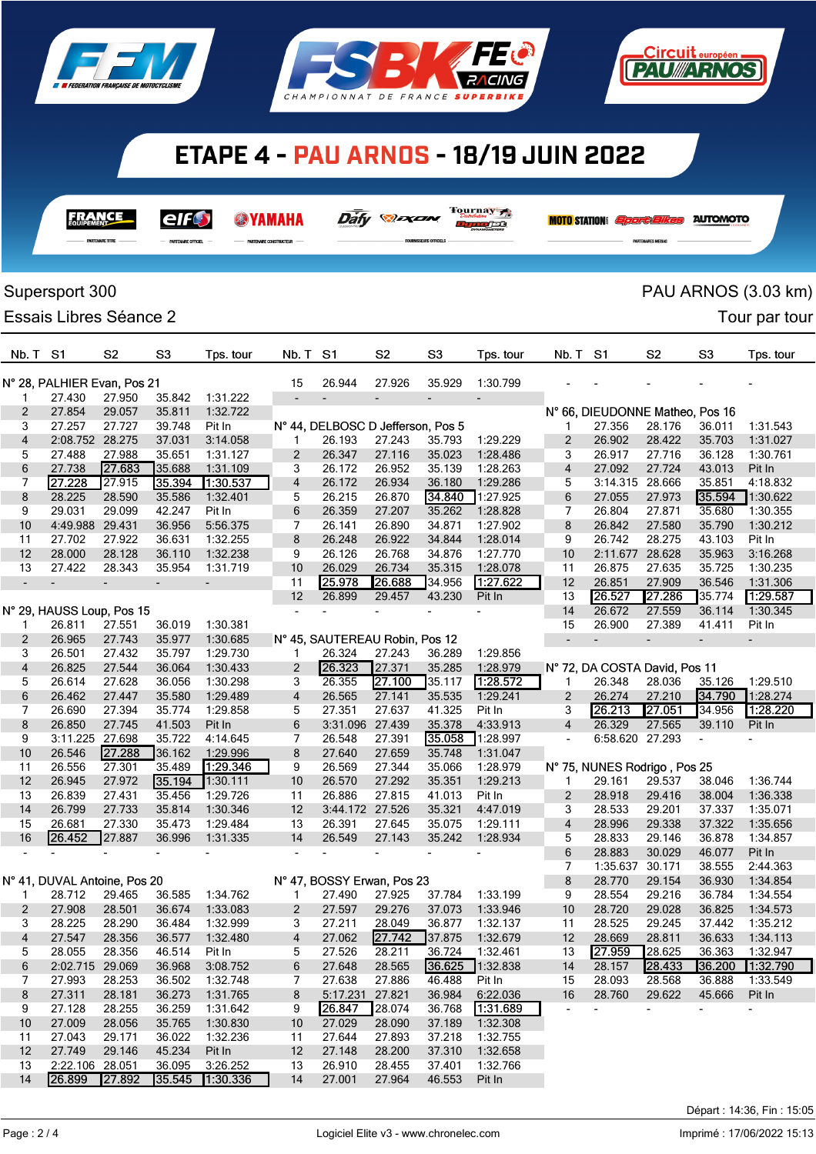

**FRANCE** 

elf

 $rac{1}{2}$ 

**@YAMAHA** 





Dafy **Dan** 

Tournay 7

فعومريت

|                          | Supersport 300               |                          |                          |                          |                |                                   |                          |                |                          |                          |          |                                 |                          | PAU ARNOS (3.03 km) |  |
|--------------------------|------------------------------|--------------------------|--------------------------|--------------------------|----------------|-----------------------------------|--------------------------|----------------|--------------------------|--------------------------|----------|---------------------------------|--------------------------|---------------------|--|
|                          | Essais Libres Séance 2       |                          |                          |                          |                |                                   |                          |                |                          |                          |          |                                 |                          | Tour par tour       |  |
| Nb. T S1                 |                              | S <sub>2</sub>           | S <sub>3</sub>           | Tps. tour                | Nb. T          | S <sub>1</sub>                    | S <sub>2</sub>           | S <sub>3</sub> | Tps. tour                | Nb. T                    | -S1      | S <sub>2</sub>                  | S <sub>3</sub>           | Tps. tour           |  |
|                          | N° 28, PALHIER Evan, Pos 21  |                          |                          |                          | 15             | 26.944                            | 27.926                   | 35.929         | 1:30.799                 |                          |          |                                 |                          |                     |  |
| 1                        | 27.430                       | 27.950                   | 35.842                   | 1:31.222                 |                |                                   | $\overline{\phantom{a}}$ |                | $\overline{\phantom{0}}$ |                          |          |                                 |                          |                     |  |
| 2                        | 27.854                       | 29.057                   | 35.811                   | 1:32.722                 |                |                                   |                          |                |                          |                          |          | N° 66, DIEUDONNE Matheo, Pos 16 |                          |                     |  |
| 3                        | 27.257                       | 27.727                   | 39.748                   | Pit In                   |                | N° 44, DELBOSC D Jefferson, Pos 5 |                          |                |                          | 1                        | 27.356   | 28.176                          | 36.011                   | 1:31.543            |  |
| 4                        | 2:08.752 28.275              |                          | 37.031                   | 3:14.058                 | 1              | 26.193                            | 27.243                   | 35.793         | 1:29.229                 | 2                        | 26.902   | 28.422                          | 35.703                   | 1:31.027            |  |
| 5                        | 27.488                       | 27.988                   | 35.651                   | 1:31.127                 | 2              | 26.347                            | 27.116                   | 35.023         | 1:28.486                 | 3                        | 26.917   | 27.716                          | 36.128                   | 1:30.761            |  |
| 6                        | 27.738                       | 27.683                   | 35.688                   | 1:31.109                 | 3              | 26.172                            | 26.952                   | 35.139         | 1:28.263                 | $\overline{4}$           | 27.092   | 27.724                          | 43.013                   | Pit In              |  |
| 7                        | 27.228                       | 27.915                   | 35.394                   | 1:30.537                 | 4              | 26.172                            | 26.934                   | 36.180         | 1:29.286                 | 5                        |          | 3:14.315 28.666                 | 35.851                   | 4:18.832            |  |
| 8                        | 28.225                       | 28.590                   | 35.586                   | 1:32.401                 | 5              | 26.215                            | 26.870                   | 34.840         | 1:27.925                 | 6                        | 27.055   | 27.973                          | 35.594                   | 1:30.622            |  |
| 9                        | 29.031                       | 29.099                   | 42.247                   | Pit In                   | 6              | 26.359                            | 27.207                   | 35.262         | 1:28.828                 | 7                        | 26.804   | 27.871                          | 35.680                   | 1:30.355            |  |
| 10                       | 4:49.988                     | 29.431                   | 36.956                   | 5:56.375                 | 7              | 26.141                            | 26.890                   | 34.871         | 1:27.902                 | 8                        | 26.842   | 27.580                          | 35.790                   | 1:30.212            |  |
| 11                       | 27.702                       | 27.922                   | 36.631                   | 1:32.255                 | 8              | 26.248                            | 26.922                   | 34.844         | 1:28.014                 | 9                        | 26.742   | 28.275                          | 43.103                   | Pit In              |  |
| 12                       | 28.000                       | 28.128                   | 36.110                   | 1:32.238                 | 9              | 26.126                            | 26.768                   | 34.876         | 1:27.770                 | 10                       | 2:11.677 | 28.628                          | 35.963                   | 3:16.268            |  |
| 13                       | 27.422                       | 28.343                   | 35.954                   | 1:31.719                 | 10             | 26.029                            | 26.734                   | 35.315         | 1:28.078                 | 11                       | 26.875   | 27.635                          | 35.725                   | 1:30.235            |  |
| $\overline{\phantom{a}}$ |                              | $\overline{\phantom{m}}$ | $\overline{\phantom{a}}$ | $\overline{\phantom{a}}$ | 11             | 25.978                            | 26.688                   | 34.956         | 1.27.622                 | 12                       | 26.851   | 27.909                          | 36.546                   | 1:31.306            |  |
|                          |                              |                          |                          |                          | 12             | 26.899                            | 29.457                   | 43.230         | Pit In                   | 13                       | 26.527   | 27.286                          | 35.774                   | [1.29.587]          |  |
|                          | N° 29, HAUSS Loup, Pos 15    |                          |                          |                          |                |                                   |                          |                |                          | 14                       | 26.672   | 27.559                          | 36.114                   | 1:30.345            |  |
| 1                        | 26.811                       | 27.551                   | 36.019                   | 1:30.381                 |                |                                   |                          |                |                          | 15                       | 26.900   | 27.389                          | 41.411                   | Pit In              |  |
| 2                        | 26.965                       | 27.743                   | 35.977                   | 1:30.685                 |                | N° 45, SAUTEREAU Robin, Pos 12    |                          |                |                          | $\overline{\phantom{a}}$ |          |                                 | $\overline{\phantom{0}}$ |                     |  |
| 3                        | 26.501                       | 27.432                   | 35.797                   | 1:29.730                 | 1.             | 26.324                            | 27.243                   | 36.289         | 1:29.856                 |                          |          |                                 |                          |                     |  |
| 4                        | 26.825                       | 27.544                   | 36.064                   | 1:30.433                 | 2              | 26.323                            | 27.371                   | 35.285         | 1:28.979                 |                          |          | N° 72, DA COSTA David, Pos 11   |                          |                     |  |
| 5                        | 26.614                       | 27.628                   | 36.056                   | 1:30.298                 | 3              | 26.355                            | [27.100]                 | 35.117         | 1.28.572                 | 1                        | 26.348   | 28.036                          | 35.126                   | 1:29.510            |  |
| 6                        | 26.462                       | 27.447                   | 35.580                   | 1:29.489                 | 4              | 26.565                            | 27.141                   | 35.535         | 1:29.241                 | $\overline{2}$           | 26.274   | 27.210                          | 34.790                   | 1:28.274            |  |
| 7                        | 26.690                       | 27.394                   | 35.774                   | 1:29.858                 | 5              | 27.351                            | 27.637                   | 41.325         | Pit In                   | 3                        | 26.213   | 27.051                          | 34.956                   | 1.28.220            |  |
| 8                        | 26.850                       | 27.745                   | 41.503                   | Pit In                   | 6              | 3:31.096 27.439                   |                          | 35.378         | 4:33.913                 | $\overline{4}$           | 26.329   | 27.565                          | 39.110                   | Pit In              |  |
| 9                        | 3:11.225 27.698              |                          | 35.722                   | 4:14.645                 | 7              | 26.548                            | 27.391                   | 35.058         | 1:28.997                 | ä,                       | 6:58.620 | 27.293                          |                          |                     |  |
| 10                       | 26.546                       | 27.288                   | 36.162                   | 1:29.996                 | 8              | 27.640                            | 27.659                   | 35.748         | 1:31.047                 |                          |          |                                 |                          |                     |  |
| 11                       | 26.556                       | 27.301                   | 35.489                   | 1:29.346                 | 9              | 26.569                            | 27.344                   | 35.066         | 1:28.979                 |                          |          | N° 75, NUNES Rodrigo, Pos 25    |                          |                     |  |
| 12                       | 26.945                       | 27.972                   | 35.194                   | 1:30.111                 | 10             | 26.570                            | 27.292                   | 35.351         | 1:29.213                 | 1                        | 29.161   | 29.537                          | 38.046                   | 1:36.744            |  |
| 13                       | 26.839                       | 27.431                   | 35.456                   | 1:29.726                 | 11             | 26.886                            | 27.815                   | 41.013         | Pit In                   | $\overline{c}$           | 28.918   | 29.416                          | 38.004                   | 1:36.338            |  |
| 14                       | 26.799                       | 27.733                   | 35.814                   | 1:30.346                 | 12             | 3:44.172 27.526                   |                          | 35.321         | 4:47.019                 | 3                        | 28.533   | 29.201                          | 37.337                   | 1:35.071            |  |
| 15                       | 26.681                       | 27.330                   | 35.473                   | 1:29.484                 | 13             | 26.391                            | 27.645                   | 35.075         | 1:29.111                 | $\overline{4}$           | 28.996   | 29.338                          | 37.322                   | 1:35.656            |  |
| 16                       | 26.452                       | 27.887                   | 36.996                   | 1:31.335                 | 14             | 26.549                            | 27.143                   | 35.242         | 1:28.934                 | 5                        | 28.833   | 29.146                          | 36.878                   | 1:34.857            |  |
|                          |                              |                          |                          |                          |                |                                   |                          |                | $\overline{\phantom{0}}$ | 6                        | 28.883   | 30.029                          | 46.077                   | Pit In              |  |
|                          |                              |                          |                          |                          |                |                                   |                          |                |                          | 7                        | 1:35.637 | 30.171                          | 38.555                   | 2:44.363            |  |
|                          | N° 41, DUVAL Antoine, Pos 20 |                          |                          |                          |                | N° 47, BOSSY Erwan, Pos 23        |                          |                |                          | 8                        | 28.770   | 29.154                          | 36.930                   | 1:34.854            |  |
| 1.                       | 28.712                       | 29.465                   | 36.585                   | 1:34.762                 | $\mathbf{1}$   | 27.490                            | 27.925                   | 37.784         | 1:33.199                 | 9                        | 28.554   | 29.216                          | 36.784                   | 1:34.554            |  |
| 2                        | 27.908                       | 28.501                   | 36.674                   | 1:33.083                 | $\overline{2}$ | 27.597                            | 29.276                   | 37.073         | 1:33.946                 | 10                       | 28.720   | 29.028                          | 36.825                   | 1:34.573            |  |
| 3                        | 28.225                       | 28.290                   | 36.484                   | 1:32.999                 | 3              | 27.211                            | 28.049                   | 36.877         | 1:32.137                 | 11                       | 28.525   | 29.245                          | 37.442                   | 1:35.212            |  |
| 4                        | 27.547                       | 28.356                   | 36.577                   | 1:32.480                 | 4              | 27.062                            | 27.742                   | 37.875         | 1:32.679                 | 12                       | 28.669   | 28.811                          | 36.633                   | 1:34.113            |  |
| 5                        | 28.055                       | 28.356                   | 46.514                   | Pit In                   | 5              | 27.526                            | 28.211                   | 36.724         | 1:32.461                 | 13                       | 27.959   | 28.625                          | 36.363                   | 1:32.947            |  |
| 6                        | 2:02.715 29.069              |                          | 36.968                   | 3:08.752                 | 6              | 27.648                            | 28.565                   | 36.625         | 1:32.838                 | 14                       | 28.157   | 28.433                          | 36.200                   | 1:32.790            |  |
| $\overline{7}$           | 27.993                       | 28.253                   | 36.502                   | 1:32.748                 | 7              | 27.638                            | 27.886                   | 46.488         | Pit In                   | 15                       | 28.093   | 28.568                          | 36.888                   | 1:33.549            |  |
| 8                        | 27.311                       | 28.181                   | 36.273                   | 1:31.765                 | 8              | 5:17.231 27.821                   |                          | 36.984         | 6:22.036                 | 16                       | 28.760   | 29.622                          | 45.666                   | Pit In              |  |
| 9                        | 27.128                       | 28.255                   | 36.259                   | 1:31.642                 | 9              | 26.847                            | 28.074                   | 36.768         | 1:31.689                 | $\overline{\phantom{a}}$ |          | $\overline{\phantom{a}}$        | $\overline{\phantom{0}}$ |                     |  |
| 10                       | 27.009                       | 28.056                   | 35.765                   | 1:30.830                 | 10             | 27.029                            | 28.090                   | 37.189         | 1:32.308                 |                          |          |                                 |                          |                     |  |
| 11                       | 27.043                       | 29.171                   | 36.022                   | 1:32.236                 | 11             | 27.644                            | 27.893                   | 37.218         | 1:32.755                 |                          |          |                                 |                          |                     |  |
| 12                       | 27.749                       | 29.146                   | 45.234                   | Pit In                   | 12             | 27.148                            | 28.200                   | 37.310         | 1:32.658                 |                          |          |                                 |                          |                     |  |
| 13                       | 2:22.106 28.051              |                          | 36.095                   | 3:26.252                 | 13             | 26.910                            | 28.455                   | 37.401         | 1:32.766                 |                          |          |                                 |                          |                     |  |
| 14                       | 26.899                       | 27.892                   | 35.545                   | 1:30.336                 | 14             | 27.001                            | 27.964                   | 46.553         | Pit In                   |                          |          |                                 |                          |                     |  |

<u> Circuit européen</u>

**MOTO STATION:** *Sport Elkes* AUTOMOTO

**PAU//ARNOS**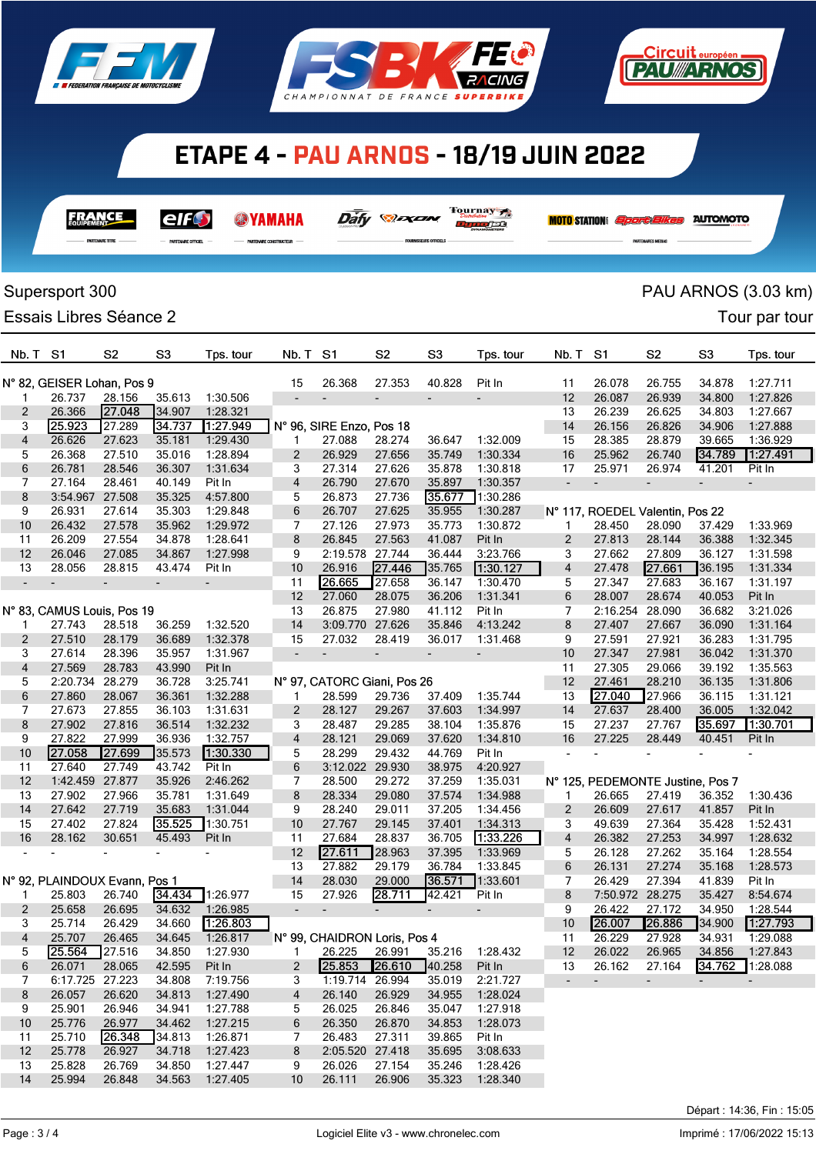

**FRANCE** 

elf

.<br>Ing arrest

**SYAMAHA** 

**NUMBER ONE TRACTOR** 





 $\overline{\mathit{Dafy}}$   $\mathcal{D}$ *axan* 

Tournay 7

nundet

|                         | Supersport 300                |                          |                          |                      |                          |                              |                          |                          |                          |                |                          |                                  |                          | PAU ARNOS (3.03 km)      |  |
|-------------------------|-------------------------------|--------------------------|--------------------------|----------------------|--------------------------|------------------------------|--------------------------|--------------------------|--------------------------|----------------|--------------------------|----------------------------------|--------------------------|--------------------------|--|
|                         | Essais Libres Séance 2        |                          |                          |                      |                          |                              |                          |                          |                          |                |                          |                                  |                          | Tour par tour            |  |
| Nb. T                   | S <sub>1</sub>                | S <sub>2</sub>           | S <sub>3</sub>           | Tps. tour            | Nb. T                    | S <sub>1</sub>               | S <sub>2</sub>           | S <sub>3</sub>           | Tps. tour                | Nb. T          | S <sub>1</sub>           | S <sub>2</sub>                   | S <sub>3</sub>           | Tps. tour                |  |
|                         | N° 82, GEISER Lohan, Pos 9    |                          |                          |                      | 15                       | 26.368                       | 27.353                   | 40.828                   | Pit In                   | 11             | 26.078                   | 26.755                           | 34.878                   | 1:27.711                 |  |
| 1                       | 26.737                        | 28.156                   | 35.613                   | 1:30.506             |                          | ÷                            | $\overline{\phantom{a}}$ |                          |                          | 12             | 26.087                   | 26.939                           | 34.800                   | 1:27.826                 |  |
| 2                       | 26.366                        | 27.048                   | 34.907                   | 1:28.321             |                          |                              |                          |                          |                          | 13             | 26.239                   | 26.625                           | 34.803                   | 1:27.667                 |  |
| 3                       | 25.923                        | 27.289                   | 34.737                   | 1:27.949             |                          | N° 96, SIRE Enzo, Pos 18     |                          |                          |                          | 14             | 26.156                   | 26.826                           | 34.906                   | 1:27.888                 |  |
| $\overline{\mathbf{4}}$ | 26.626                        | 27.623                   | 35.181                   | 1:29.430             | 1                        | 27.088                       | 28.274                   | 36.647                   | 1:32.009                 | 15             | 28.385                   | 28.879                           | 39.665                   | 1:36.929                 |  |
| 5                       | 26.368                        | 27.510                   | 35.016                   | 1:28.894             | 2                        | 26.929                       | 27.656                   | 35.749                   | 1:30.334                 | 16             | 25.962                   | 26.740                           | 34.789                   | 1:27.491                 |  |
| 6                       | 26.781                        | 28.546                   | 36.307                   | 1:31.634             | 3                        | 27.314                       | 27.626                   | 35.878                   | 1:30.818                 | 17             | 25.971                   | 26.974                           | 41.201                   | Pit In                   |  |
| 7                       | 27.164                        | 28.461                   | 40.149                   | Pit In               | 4                        | 26.790                       | 27.670                   | 35.897                   | 1:30.357                 | $\blacksquare$ |                          | $\overline{a}$                   | $\overline{\phantom{a}}$ |                          |  |
| 8                       | 3:54.967                      | 27.508                   | 35.325                   | 4:57.800             | 5                        | 26.873                       | 27.736                   | 35.677                   | 1:30.286                 |                |                          |                                  |                          |                          |  |
| 9                       | 26.931                        | 27.614                   | 35.303                   | 1:29.848             | 6                        | 26.707                       | 27.625                   | 35.955                   | 1:30.287                 |                |                          | N° 117, ROEDEL Valentin, Pos 22  |                          |                          |  |
| 10                      | 26.432                        | 27.578                   | 35.962                   | 1:29.972             | 7                        | 27.126                       | 27.973                   | 35.773                   | 1:30.872                 | 1              | 28.450                   | 28.090                           | 37.429                   | 1:33.969                 |  |
| 11                      | 26.209                        | 27.554                   | 34.878                   | 1:28.641             | 8                        | 26.845                       | 27.563                   | 41.087                   | Pit In                   | 2              | 27.813                   | 28.144                           | 36.388                   | 1:32.345                 |  |
| 12                      | 26.046                        | 27.085                   | 34.867                   | 1:27.998             | 9                        | 2:19.578 27.744              |                          | 36.444                   | 3:23.766                 | 3              | 27.662                   | 27.809                           | 36.127                   | 1:31.598                 |  |
| 13                      | 28.056                        | 28.815                   | 43.474                   | Pit In               | 10                       | 26.916                       | 27.446                   | 35.765                   | 1:30.127                 | 4              | 27.478                   | 27.661                           | 36.195                   | 1:31.334                 |  |
| $\blacksquare$          |                               | $\overline{\phantom{0}}$ | $\overline{\phantom{0}}$ |                      | 11                       | 26.665                       | 27.658                   | 36.147                   | 1:30.470                 | 5              | 27.347                   | 27.683                           | 36.167                   | 1:31.197                 |  |
|                         |                               |                          |                          |                      | 12                       | 27.060                       | 28.075                   | 36.206                   | 1:31.341                 | 6              | 28.007                   | 28.674                           | 40.053                   | Pit In                   |  |
|                         | N° 83, CAMUS Louis, Pos 19    |                          |                          |                      | 13                       | 26.875                       | 27.980                   | 41.112                   | Pit In                   | $\overline{7}$ | 2:16.254                 | 28.090                           | 36.682                   | 3:21.026                 |  |
| 1                       | 27.743                        | 28.518                   | 36.259                   | 1:32.520             | 14                       | 3:09.770                     | 27.626                   | 35.846                   | 4:13.242                 | 8              | 27.407                   | 27.667                           | 36.090                   | 1:31.164                 |  |
| $\overline{2}$          | 27.510                        | 28.179                   | 36.689                   | 1:32.378             | 15                       | 27.032                       | 28.419                   | 36.017                   | 1:31.468                 | 9              | 27.591                   | 27.921                           | 36.283                   | 1:31.795                 |  |
| 3                       | 27.614                        | 28.396                   | 35.957                   | 1:31.967             | $\overline{\phantom{a}}$ | $\overline{\phantom{a}}$     | $\overline{\phantom{a}}$ | $\overline{\phantom{a}}$ | $\overline{\phantom{a}}$ | 10             | 27.347                   | 27.981                           | 36.042                   | 1:31.370                 |  |
| 4                       | 27.569                        | 28.783                   | 43.990                   | Pit In               |                          |                              |                          |                          |                          | 11             | 27.305                   | 29.066                           | 39.192                   | 1:35.563                 |  |
| 5                       | 2:20.734                      | 28.279                   | 36.728                   | 3:25.741             |                          | N° 97, CATORC Giani, Pos 26  |                          |                          |                          | 12             | 27.461                   | 28.210                           | 36.135                   | 1:31.806                 |  |
| 6<br>7                  | 27.860<br>27.673              | 28.067                   | 36.361                   | 1:32.288             | 1                        | 28.599                       | 29.736                   | 37.409                   | 1:35.744                 | 13             | 27.040                   | 27.966                           | 36.115                   | 1:31.121                 |  |
| 8                       | 27.902                        | 27.855                   | 36.103                   | 1:31.631             | 2                        | 28.127                       | 29.267                   | 37.603                   | 1:34.997                 | 14             | 27.637                   | 28.400                           | 36.005                   | 1:32.042                 |  |
| 9                       | 27.822                        | 27.816<br>27.999         | 36.514<br>36.936         | 1:32.232<br>1:32.757 | 3<br>4                   | 28.487<br>28.121             | 29.285<br>29.069         | 38.104<br>37.620         | 1:35.876<br>1:34.810     | 15<br>16       | 27.237<br>27.225         | 27.767<br>28.449                 | 35.697<br>40.451         | 1:30.701<br>Pit In       |  |
| 10                      | 27.058                        | 27.699                   | 35.573                   | 1:30.330             | 5                        | 28.299                       | 29.432                   | 44.769                   | Pit In                   | $\frac{1}{2}$  | $\overline{\phantom{a}}$ | $\blacksquare$                   |                          |                          |  |
| 11                      | 27.640                        | 27.749                   | 43.742                   | Pit In               | 6                        | 3:12.022 29.930              |                          | 38.975                   | 4:20.927                 |                |                          |                                  |                          |                          |  |
| 12                      | 1:42.459                      | 27.877                   | 35.926                   | 2:46.262             | 7                        | 28.500                       | 29.272                   | 37.259                   | 1:35.031                 |                |                          | N° 125, PEDEMONTE Justine, Pos 7 |                          |                          |  |
| 13                      | 27.902                        | 27.966                   | 35.781                   | 1:31.649             | 8                        | 28.334                       | 29.080                   | 37.574                   | 1:34.988                 | 1              | 26.665                   | 27.419                           | 36.352                   | 1:30.436                 |  |
| 14                      | 27.642                        | 27.719                   | 35.683                   | 1:31.044             | 9                        | 28.240                       | 29.011                   | 37.205                   | 1:34.456                 | 2              | 26.609                   | 27.617                           | 41.857                   | Pit In                   |  |
| 15                      | 27.402                        | 27.824                   | 35.525                   | 1:30.751             | 10                       | 27.767                       | 29.145                   | 37.401                   | 1:34.313                 | 3              | 49.639                   | 27.364                           | 35.428                   | 1:52.431                 |  |
| 16                      | 28.162                        | 30.651                   | 45.493                   | Pit In               | 11                       | 27.684                       | 28.837                   | 36.705                   | 1:33.226                 | 4              | 26.382                   | 27.253                           | 34.997                   | 1:28.632                 |  |
|                         |                               |                          |                          |                      | 12                       | 27.611                       | 28.963                   | 37.395                   | 1:33.969                 | 5              | 26.128                   | 27.262                           | 35.164                   | 1:28.554                 |  |
|                         |                               |                          |                          |                      | 13                       | 27.882                       | 29.179                   | 36.784                   | 1:33.845                 | 6              | 26.131                   | 27.274                           | 35.168                   | 1:28.573                 |  |
|                         | N° 92, PLAINDOUX Evann, Pos 1 |                          |                          |                      | 14                       | 28.030                       | 29.000                   | 36.571                   | 1:33.601                 | 7              | 26.429                   | 27.394                           | 41.839                   | Pit In                   |  |
| 1.                      | 25.803                        | 26.740                   |                          | 34.434 1:26.977      | 15                       | 27.926                       | 28.711                   | 42.421                   | Pit In                   | 8              |                          | 7:50.972 28.275                  | 35.427                   | 8:54.674                 |  |
| 2                       | 25.658                        | 26.695                   | 34.632                   | 1:26.985             | $\blacksquare$           | $\overline{\phantom{a}}$     |                          | $\overline{\phantom{a}}$ | $\overline{\phantom{a}}$ | 9              | 26.422                   | 27.172                           | 34.950                   | 1:28.544                 |  |
| 3                       | 25.714                        | 26.429                   | 34.660                   | 1:26.803             |                          |                              |                          |                          |                          | 10             | 26.007                   | 26.886                           | 34.900                   | 1.27.793                 |  |
| 4                       | 25.707                        | 26.465                   | 34.645                   | 1:26.817             |                          | N° 99, CHAIDRON Loris, Pos 4 |                          |                          |                          | 11             | 26.229                   | 27.928                           | 34.931                   | 1:29.088                 |  |
| 5                       | 25.564                        | 27.516                   | 34.850                   | 1:27.930             | 1.                       | 26.225                       | 26.991                   | 35.216                   | 1:28.432                 | 12             | 26.022                   | 26.965                           | 34.856                   | 1:27.843                 |  |
| 6                       | 26.071                        | 28.065                   | 42.595                   | Pit In               | 2                        | 25.853                       | 26.610                   | 40.258                   | Pit In                   | 13             | 26.162                   | 27.164                           | 34.762                   | 1:28.088                 |  |
| 7                       | 6:17.725 27.223               |                          | 34.808                   | 7:19.756             | 3                        | 1:19.714 26.994              |                          | 35.019                   | 2:21.727                 | ٠              | $\overline{\phantom{a}}$ | $\overline{\phantom{a}}$         | $\sim$                   | $\overline{\phantom{a}}$ |  |
| 8                       | 26.057                        | 26.620                   | 34.813                   | 1:27.490             | 4                        | 26.140                       | 26.929                   | 34.955                   | 1:28.024                 |                |                          |                                  |                          |                          |  |
| 9                       | 25.901                        | 26.946                   | 34.941                   | 1:27.788             | 5                        | 26.025                       | 26.846                   | 35.047                   | 1:27.918                 |                |                          |                                  |                          |                          |  |
| 10                      | 25.776                        | 26.977                   | 34.462                   | 1:27.215             | 6                        | 26.350                       | 26.870                   | 34.853                   | 1:28.073                 |                |                          |                                  |                          |                          |  |
| 11                      | 25.710                        | 26.348                   | 34.813                   | 1:26.871             | 7                        | 26.483                       | 27.311                   | 39.865                   | Pit In                   |                |                          |                                  |                          |                          |  |
| 12                      | 25.778                        | 26.927                   | 34.718                   | 1:27.423             | 8                        | 2:05.520 27.418              |                          | 35.695                   | 3:08.633                 |                |                          |                                  |                          |                          |  |
| 13                      | 25.828                        | 26.769                   | 34.850                   | 1:27.447             | 9                        | 26.026                       | 27.154                   | 35.246                   | 1:28.426                 |                |                          |                                  |                          |                          |  |
| 14                      | 25.994                        | 26.848                   | 34.563                   | 1:27.405             | 10                       | 26.111                       | 26.906                   | 35.323                   | 1:28.340                 |                |                          |                                  |                          |                          |  |
|                         |                               |                          |                          |                      |                          |                              |                          |                          |                          |                |                          |                                  |                          |                          |  |

<u>Circuit européen</u>

**T2NWARNOS** 

**MOTO STATION:** *Sport Elkes* AUTOMOTO